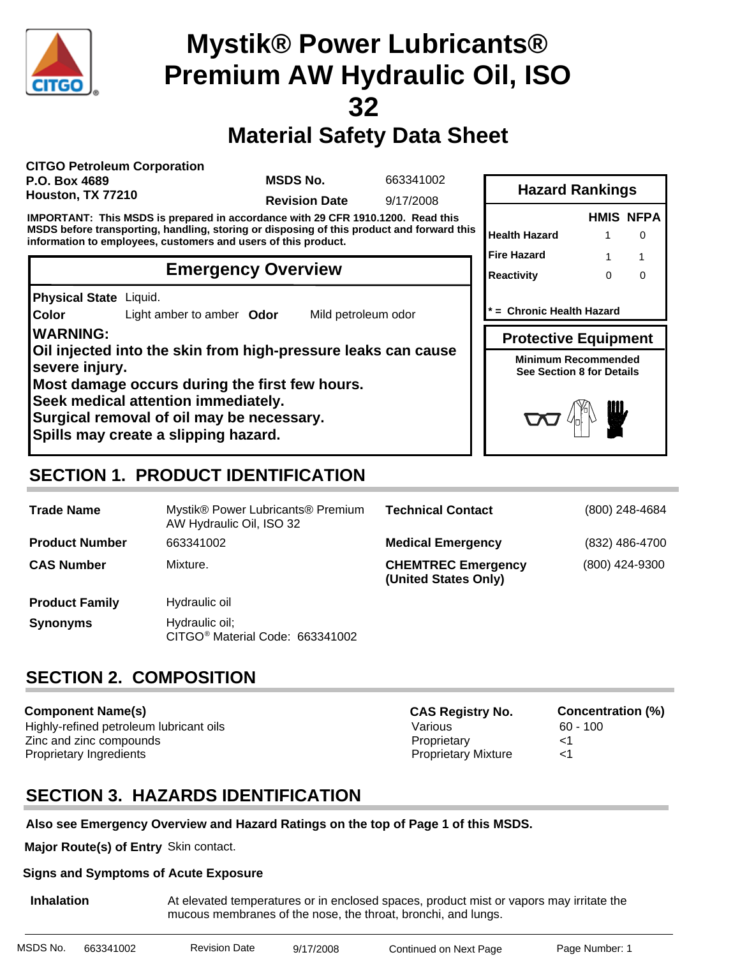

## **Material Safety Data Sheet**

**CITGO Petroleum Corporation P.O. Box 4689 Houston, TX 77210**

**MSDS No.**

663341002

**Revision Date** 9/17/2008

**IMPORTANT: This MSDS is prepared in accordance with 29 CFR 1910.1200. Read this MSDS before transporting, handling, storing or disposing of this product and forward this information to employees, customers and users of this product.**

#### **Emergency Overview**

**Physical State** Liquid.

**Color** Light amber to amber **Odor** Mild petroleum odor

**WARNING: Oil injected into the skin from high-pressure leaks can cause severe injury. Most damage occurs during the first few hours. Seek medical attention immediately. Surgical removal of oil may be necessary.**

**Spills may create a slipping hazard.**

| <b>Hazard Rankings</b>      |   |                  |  |  |  |
|-----------------------------|---|------------------|--|--|--|
|                             |   | <b>HMIS NFPA</b> |  |  |  |
| <b>Health Hazard</b>        |   |                  |  |  |  |
| <b>Fire Hazard</b>          | 1 |                  |  |  |  |
| Reactivity                  | O | O                |  |  |  |
| * = Chronic Health Hazard   |   |                  |  |  |  |
| <b>Protective Equipment</b> |   |                  |  |  |  |
|                             |   |                  |  |  |  |

**Minimum Recommended See Section 8 for Details**



### **SECTION 1. PRODUCT IDENTIFICATION**

| <b>Trade Name</b>     | Mystik® Power Lubricants® Premium<br>AW Hydraulic Oil, ISO 32 | <b>Technical Contact</b>                          | (800) 248-4684 |
|-----------------------|---------------------------------------------------------------|---------------------------------------------------|----------------|
| <b>Product Number</b> | 663341002                                                     | <b>Medical Emergency</b>                          | (832) 486-4700 |
| <b>CAS Number</b>     | Mixture.                                                      | <b>CHEMTREC Emergency</b><br>(United States Only) | (800) 424-9300 |
| <b>Product Family</b> | Hydraulic oil                                                 |                                                   |                |
| <b>Synonyms</b>       | Hydraulic oil;<br>CITGO <sup>®</sup> Material Code: 663341002 |                                                   |                |

### **SECTION 2. COMPOSITION**

**Component Name(s)** Highly-refined petroleum lubricant oils and the Various Various 60 - 100 Zinc and zinc compounds Proprietary <1 Proprietary Ingredients **Proprietary Mixture Algebra** 21

| <b>CAS Registry No.</b>    |
|----------------------------|
| Various                    |
| Proprietary                |
| <b>Proprietary Mixture</b> |

**Concentration (%)** 

### **SECTION 3. HAZARDS IDENTIFICATION**

#### **Also see Emergency Overview and Hazard Ratings on the top of Page 1 of this MSDS.**

**Major Route(s) of Entry** Skin contact.

#### **Signs and Symptoms of Acute Exposure**

**Inhalation** At elevated temperatures or in enclosed spaces, product mist or vapors may irritate the mucous membranes of the nose, the throat, bronchi, and lungs.

| MSDS No. | 663341002 | <b>Revision Date</b> | 9/17/2008 | Continued on Next Page | Page Number: 1 |
|----------|-----------|----------------------|-----------|------------------------|----------------|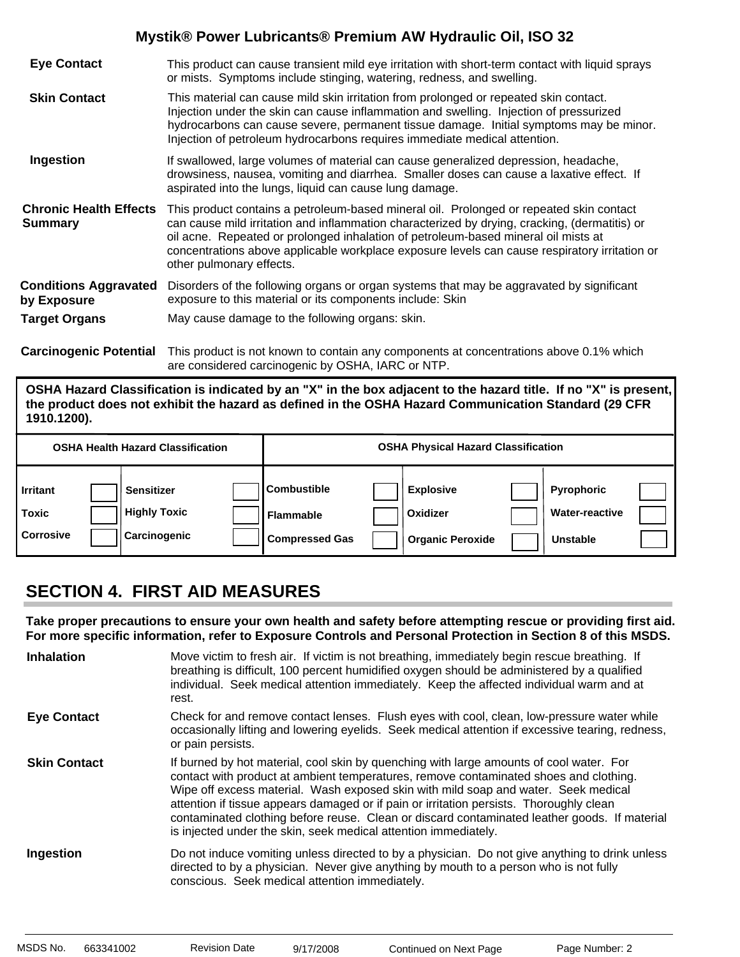| <b>Eye Contact</b>                              | This product can cause transient mild eye irritation with short-term contact with liquid sprays<br>or mists. Symptoms include stinging, watering, redness, and swelling.                                                                                                                                                                                                                                    |
|-------------------------------------------------|-------------------------------------------------------------------------------------------------------------------------------------------------------------------------------------------------------------------------------------------------------------------------------------------------------------------------------------------------------------------------------------------------------------|
| <b>Skin Contact</b>                             | This material can cause mild skin irritation from prolonged or repeated skin contact.<br>Injection under the skin can cause inflammation and swelling. Injection of pressurized<br>hydrocarbons can cause severe, permanent tissue damage. Initial symptoms may be minor.<br>Injection of petroleum hydrocarbons requires immediate medical attention.                                                      |
| Ingestion                                       | If swallowed, large volumes of material can cause generalized depression, headache,<br>drowsiness, nausea, vomiting and diarrhea. Smaller doses can cause a laxative effect. If<br>aspirated into the lungs, liquid can cause lung damage.                                                                                                                                                                  |
| <b>Chronic Health Effects</b><br><b>Summary</b> | This product contains a petroleum-based mineral oil. Prolonged or repeated skin contact<br>can cause mild irritation and inflammation characterized by drying, cracking, (dermatitis) or<br>oil acne. Repeated or prolonged inhalation of petroleum-based mineral oil mists at<br>concentrations above applicable workplace exposure levels can cause respiratory irritation or<br>other pulmonary effects. |
| <b>Conditions Aggravated</b><br>by Exposure     | Disorders of the following organs or organ systems that may be aggravated by significant<br>exposure to this material or its components include: Skin                                                                                                                                                                                                                                                       |
| <b>Target Organs</b>                            | May cause damage to the following organs: skin.                                                                                                                                                                                                                                                                                                                                                             |
|                                                 | A I BIJITI TI III II II II                                                                                                                                                                                                                                                                                                                                                                                  |

**Carcinogenic Potential** This product is not known to contain any components at concentrations above 0.1% which are considered carcinogenic by OSHA, IARC or NTP.

**OSHA Hazard Classification is indicated by an "X" in the box adjacent to the hazard title. If no "X" is present, the product does not exhibit the hazard as defined in the OSHA Hazard Communication Standard (29 CFR 1910.1200).**

|                                              | <b>OSHA Health Hazard Classification</b>                 |                                                                 | <b>OSHA Physical Hazard Classification</b>              |                                                        |  |
|----------------------------------------------|----------------------------------------------------------|-----------------------------------------------------------------|---------------------------------------------------------|--------------------------------------------------------|--|
| <b>Irritant</b><br>Toxic<br><b>Corrosive</b> | <b>Sensitizer</b><br><b>Highly Toxic</b><br>Carcinogenic | <b>Combustible</b><br><b>Flammable</b><br><b>Compressed Gas</b> | <b>Explosive</b><br>Oxidizer<br><b>Organic Peroxide</b> | <b>Pyrophoric</b><br><b>Water-reactive</b><br>Unstable |  |

### **SECTION 4. FIRST AID MEASURES**

**Take proper precautions to ensure your own health and safety before attempting rescue or providing first aid. For more specific information, refer to Exposure Controls and Personal Protection in Section 8 of this MSDS.**

| <b>Inhalation</b>   | Move victim to fresh air. If victim is not breathing, immediately begin rescue breathing. If<br>breathing is difficult, 100 percent humidified oxygen should be administered by a qualified<br>individual. Seek medical attention immediately. Keep the affected individual warm and at<br>rest.                                                                                                                                                                                                                                     |
|---------------------|--------------------------------------------------------------------------------------------------------------------------------------------------------------------------------------------------------------------------------------------------------------------------------------------------------------------------------------------------------------------------------------------------------------------------------------------------------------------------------------------------------------------------------------|
| <b>Eye Contact</b>  | Check for and remove contact lenses. Flush eyes with cool, clean, low-pressure water while<br>occasionally lifting and lowering eyelids. Seek medical attention if excessive tearing, redness,<br>or pain persists.                                                                                                                                                                                                                                                                                                                  |
| <b>Skin Contact</b> | If burned by hot material, cool skin by quenching with large amounts of cool water. For<br>contact with product at ambient temperatures, remove contaminated shoes and clothing.<br>Wipe off excess material. Wash exposed skin with mild soap and water. Seek medical<br>attention if tissue appears damaged or if pain or irritation persists. Thoroughly clean<br>contaminated clothing before reuse. Clean or discard contaminated leather goods. If material<br>is injected under the skin, seek medical attention immediately. |
| Ingestion           | Do not induce vomiting unless directed to by a physician. Do not give anything to drink unless<br>directed to by a physician. Never give anything by mouth to a person who is not fully<br>conscious. Seek medical attention immediately.                                                                                                                                                                                                                                                                                            |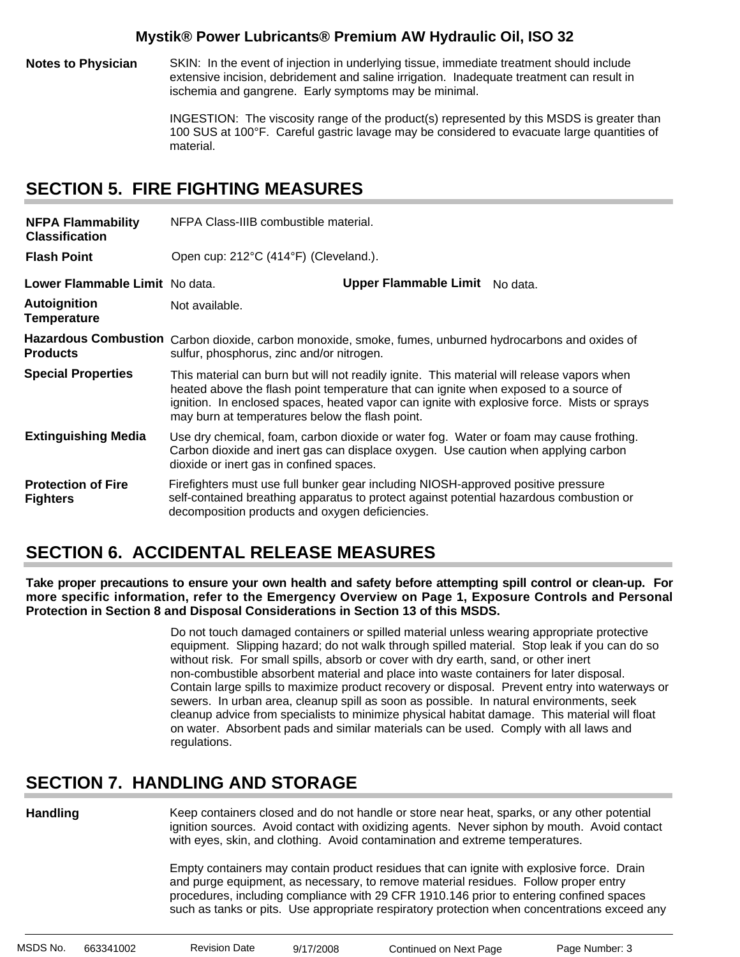**Notes to Physician** SKIN: In the event of injection in underlying tissue, immediate treatment should include extensive incision, debridement and saline irrigation. Inadequate treatment can result in ischemia and gangrene. Early symptoms may be minimal.

> INGESTION: The viscosity range of the product(s) represented by this MSDS is greater than 100 SUS at 100°F. Careful gastric lavage may be considered to evacuate large quantities of material.

#### **SECTION 5. FIRE FIGHTING MEASURES**

| <b>NFPA Flammability</b><br><b>Classification</b> | NFPA Class-IIIB combustible material.                                                                                                                                                                                                                                                                                                |                                |  |  |  |  |  |
|---------------------------------------------------|--------------------------------------------------------------------------------------------------------------------------------------------------------------------------------------------------------------------------------------------------------------------------------------------------------------------------------------|--------------------------------|--|--|--|--|--|
| <b>Flash Point</b>                                | Open cup: 212°C (414°F) (Cleveland.).                                                                                                                                                                                                                                                                                                |                                |  |  |  |  |  |
| Lower Flammable Limit No data.                    |                                                                                                                                                                                                                                                                                                                                      | Upper Flammable Limit No data. |  |  |  |  |  |
| <b>Autoignition</b><br><b>Temperature</b>         | Not available.                                                                                                                                                                                                                                                                                                                       |                                |  |  |  |  |  |
| <b>Products</b>                                   | Hazardous Combustion Carbon dioxide, carbon monoxide, smoke, fumes, unburned hydrocarbons and oxides of<br>sulfur, phosphorus, zinc and/or nitrogen.                                                                                                                                                                                 |                                |  |  |  |  |  |
| <b>Special Properties</b>                         | This material can burn but will not readily ignite. This material will release vapors when<br>heated above the flash point temperature that can ignite when exposed to a source of<br>ignition. In enclosed spaces, heated vapor can ignite with explosive force. Mists or sprays<br>may burn at temperatures below the flash point. |                                |  |  |  |  |  |
| <b>Extinguishing Media</b>                        | Use dry chemical, foam, carbon dioxide or water fog. Water or foam may cause frothing.<br>Carbon dioxide and inert gas can displace oxygen. Use caution when applying carbon<br>dioxide or inert gas in confined spaces.                                                                                                             |                                |  |  |  |  |  |
| <b>Protection of Fire</b><br><b>Fighters</b>      | Firefighters must use full bunker gear including NIOSH-approved positive pressure<br>self-contained breathing apparatus to protect against potential hazardous combustion or<br>decomposition products and oxygen deficiencies.                                                                                                      |                                |  |  |  |  |  |

### **SECTION 6. ACCIDENTAL RELEASE MEASURES**

**Take proper precautions to ensure your own health and safety before attempting spill control or clean-up. For more specific information, refer to the Emergency Overview on Page 1, Exposure Controls and Personal Protection in Section 8 and Disposal Considerations in Section 13 of this MSDS.**

> Do not touch damaged containers or spilled material unless wearing appropriate protective equipment. Slipping hazard; do not walk through spilled material. Stop leak if you can do so without risk. For small spills, absorb or cover with dry earth, sand, or other inert non-combustible absorbent material and place into waste containers for later disposal. Contain large spills to maximize product recovery or disposal. Prevent entry into waterways or sewers. In urban area, cleanup spill as soon as possible. In natural environments, seek cleanup advice from specialists to minimize physical habitat damage. This material will float on water. Absorbent pads and similar materials can be used. Comply with all laws and regulations.

### **SECTION 7. HANDLING AND STORAGE**

**Handling**

Keep containers closed and do not handle or store near heat, sparks, or any other potential ignition sources. Avoid contact with oxidizing agents. Never siphon by mouth. Avoid contact with eyes, skin, and clothing. Avoid contamination and extreme temperatures.

Empty containers may contain product residues that can ignite with explosive force. Drain and purge equipment, as necessary, to remove material residues. Follow proper entry procedures, including compliance with 29 CFR 1910.146 prior to entering confined spaces such as tanks or pits. Use appropriate respiratory protection when concentrations exceed any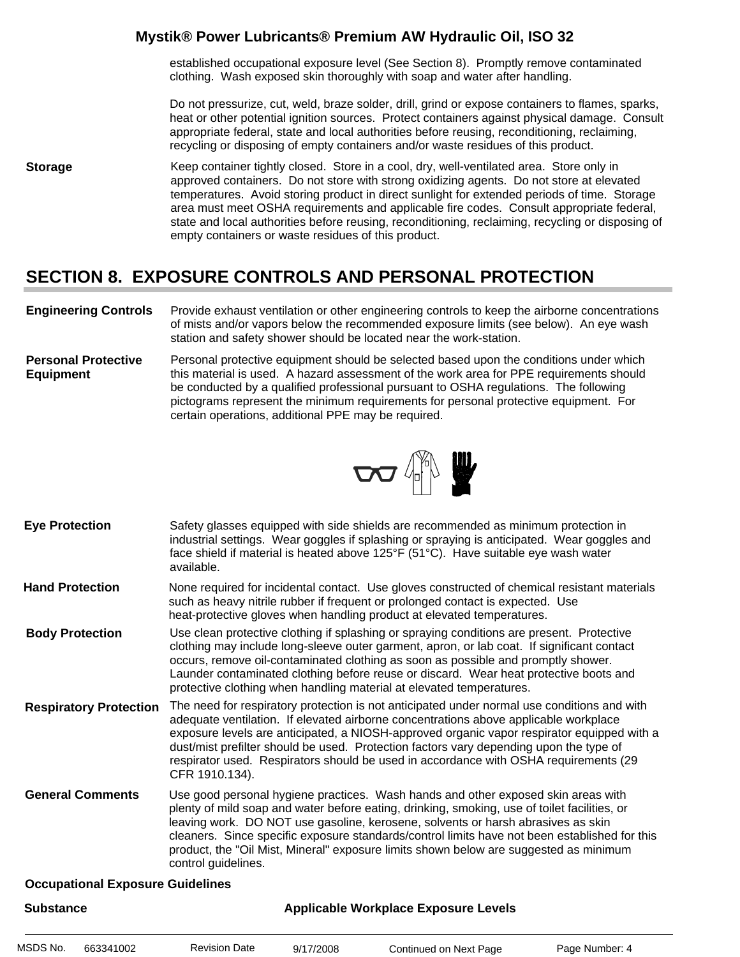established occupational exposure level (See Section 8). Promptly remove contaminated clothing. Wash exposed skin thoroughly with soap and water after handling.

Do not pressurize, cut, weld, braze solder, drill, grind or expose containers to flames, sparks, heat or other potential ignition sources. Protect containers against physical damage. Consult appropriate federal, state and local authorities before reusing, reconditioning, reclaiming, recycling or disposing of empty containers and/or waste residues of this product.

**Storage** Keep container tightly closed. Store in a cool, dry, well-ventilated area. Store only in approved containers. Do not store with strong oxidizing agents. Do not store at elevated temperatures. Avoid storing product in direct sunlight for extended periods of time. Storage area must meet OSHA requirements and applicable fire codes. Consult appropriate federal, state and local authorities before reusing, reconditioning, reclaiming, recycling or disposing of empty containers or waste residues of this product.

### **SECTION 8. EXPOSURE CONTROLS AND PERSONAL PROTECTION**

- **Engineering Controls** Provide exhaust ventilation or other engineering controls to keep the airborne concentrations of mists and/or vapors below the recommended exposure limits (see below). An eye wash station and safety shower should be located near the work-station.
- **Personal Protective Equipment** Personal protective equipment should be selected based upon the conditions under which this material is used. A hazard assessment of the work area for PPE requirements should be conducted by a qualified professional pursuant to OSHA regulations. The following pictograms represent the minimum requirements for personal protective equipment. For certain operations, additional PPE may be required.



- Safety glasses equipped with side shields are recommended as minimum protection in industrial settings. Wear goggles if splashing or spraying is anticipated. Wear goggles and face shield if material is heated above 125°F (51°C). Have suitable eye wash water available. **Eye Protection**
- None required for incidental contact. Use gloves constructed of chemical resistant materials such as heavy nitrile rubber if frequent or prolonged contact is expected. Use heat-protective gloves when handling product at elevated temperatures. **Hand Protection**
- Use clean protective clothing if splashing or spraying conditions are present. Protective clothing may include long-sleeve outer garment, apron, or lab coat. If significant contact occurs, remove oil-contaminated clothing as soon as possible and promptly shower. Launder contaminated clothing before reuse or discard. Wear heat protective boots and protective clothing when handling material at elevated temperatures. **Body Protection**
- The need for respiratory protection is not anticipated under normal use conditions and with adequate ventilation. If elevated airborne concentrations above applicable workplace exposure levels are anticipated, a NIOSH-approved organic vapor respirator equipped with a dust/mist prefilter should be used. Protection factors vary depending upon the type of respirator used. Respirators should be used in accordance with OSHA requirements (29 CFR 1910.134). **Respiratory Protection**
- Use good personal hygiene practices. Wash hands and other exposed skin areas with plenty of mild soap and water before eating, drinking, smoking, use of toilet facilities, or leaving work. DO NOT use gasoline, kerosene, solvents or harsh abrasives as skin cleaners. Since specific exposure standards/control limits have not been established for this product, the "Oil Mist, Mineral" exposure limits shown below are suggested as minimum control guidelines. **General Comments**

#### **Occupational Exposure Guidelines**

| <b>Substance</b> |           |                      | <b>Applicable Workplace Exposure Levels</b> |                        |                |  |  |
|------------------|-----------|----------------------|---------------------------------------------|------------------------|----------------|--|--|
| MSDS No.         | 663341002 | <b>Revision Date</b> | 9/17/2008                                   | Continued on Next Page | Page Number: 4 |  |  |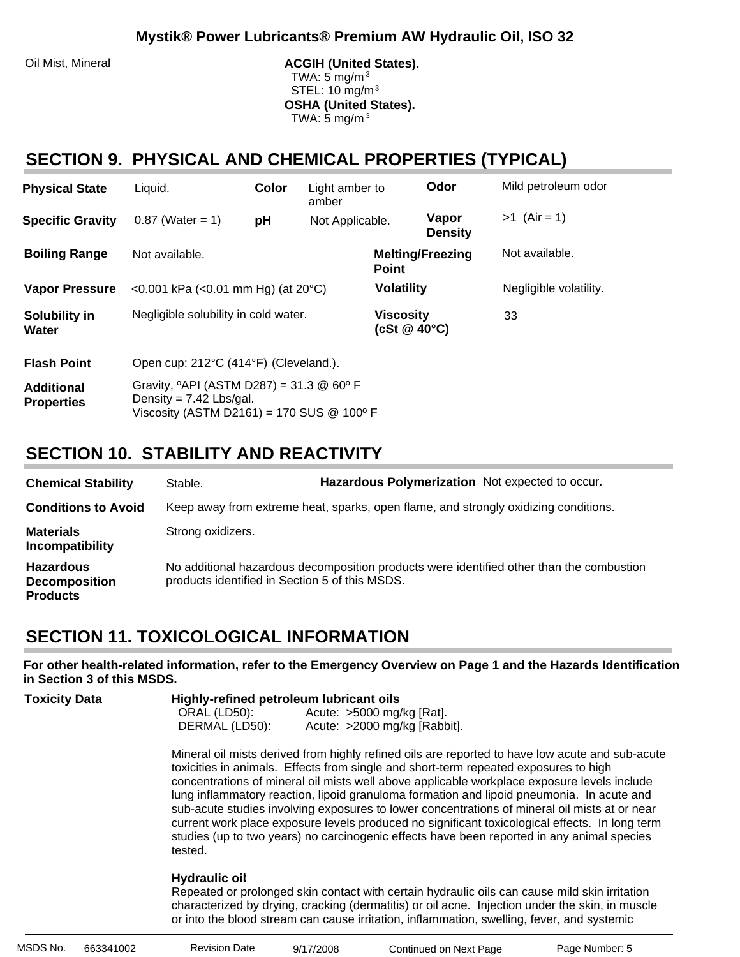Oil Mist, Mineral **ACGIH (United States).** ACGIH (United States). TWA: 5 mg/m $3$  STEL: 10 mg/m3 **OSHA (United States).** TWA:  $5 \text{ mg/m}^3$ 

#### **SECTION 9. PHYSICAL AND CHEMICAL PROPERTIES (TYPICAL)**

| <b>Physical State</b>                  | Liquid.                                                                                                                                            | Color | Light amber to<br>amber |                                            | Odor                    | Mild petroleum odor    |
|----------------------------------------|----------------------------------------------------------------------------------------------------------------------------------------------------|-------|-------------------------|--------------------------------------------|-------------------------|------------------------|
| <b>Specific Gravity</b>                | $0.87$ (Water = 1)                                                                                                                                 | рH    | Not Applicable.         |                                            | Vapor<br><b>Density</b> | $>1$ (Air = 1)         |
| <b>Boiling Range</b>                   | Not available.                                                                                                                                     |       |                         | <b>Melting/Freezing</b><br><b>Point</b>    |                         | Not available.         |
| <b>Vapor Pressure</b>                  | <0.001 kPa (<0.01 mm Hg) (at $20^{\circ}$ C)                                                                                                       |       |                         | <b>Volatility</b>                          |                         | Negligible volatility. |
| Solubility in<br>Water                 | Negligible solubility in cold water.                                                                                                               |       |                         | <b>Viscosity</b><br>$(cSt \& 40^{\circ}C)$ |                         | 33                     |
| <b>Flash Point</b>                     | Open cup: 212°C (414°F) (Cleveland.).                                                                                                              |       |                         |                                            |                         |                        |
| <b>Additional</b><br><b>Properties</b> | Gravity, $^{\circ}$ API (ASTM D287) = 31.3 @ 60 $^{\circ}$ F<br>Density = $7.42$ Lbs/gal.<br>Viscosity (ASTM D2161) = 170 SUS $@$ 100 $^{\circ}$ F |       |                         |                                            |                         |                        |

### **SECTION 10. STABILITY AND REACTIVITY**

| <b>Chemical Stability</b>                                   | Stable.                                        | Hazardous Polymerization Not expected to occur.                                     |                                                                                          |
|-------------------------------------------------------------|------------------------------------------------|-------------------------------------------------------------------------------------|------------------------------------------------------------------------------------------|
| <b>Conditions to Avoid</b>                                  |                                                | Keep away from extreme heat, sparks, open flame, and strongly oxidizing conditions. |                                                                                          |
| <b>Materials</b><br>Incompatibility                         | Strong oxidizers.                              |                                                                                     |                                                                                          |
| <b>Hazardous</b><br><b>Decomposition</b><br><b>Products</b> | products identified in Section 5 of this MSDS. |                                                                                     | No additional hazardous decomposition products were identified other than the combustion |

### **SECTION 11. TOXICOLOGICAL INFORMATION**

**For other health-related information, refer to the Emergency Overview on Page 1 and the Hazards Identification in Section 3 of this MSDS.**

| <b>Toxicity Data</b> | Highly-refined petroleum lubricant oils |                              |  |  |  |  |
|----------------------|-----------------------------------------|------------------------------|--|--|--|--|
|                      | ORAL (LD50):                            | Acute: $>5000$ mg/kg [Rat].  |  |  |  |  |
|                      | DERMAL (LD50):                          | Acute: >2000 mg/kg [Rabbit]. |  |  |  |  |

Mineral oil mists derived from highly refined oils are reported to have low acute and sub-acute toxicities in animals. Effects from single and short-term repeated exposures to high concentrations of mineral oil mists well above applicable workplace exposure levels include lung inflammatory reaction, lipoid granuloma formation and lipoid pneumonia. In acute and sub-acute studies involving exposures to lower concentrations of mineral oil mists at or near current work place exposure levels produced no significant toxicological effects. In long term studies (up to two years) no carcinogenic effects have been reported in any animal species tested.

#### **Hydraulic oil**:

Repeated or prolonged skin contact with certain hydraulic oils can cause mild skin irritation characterized by drying, cracking (dermatitis) or oil acne. Injection under the skin, in muscle or into the blood stream can cause irritation, inflammation, swelling, fever, and systemic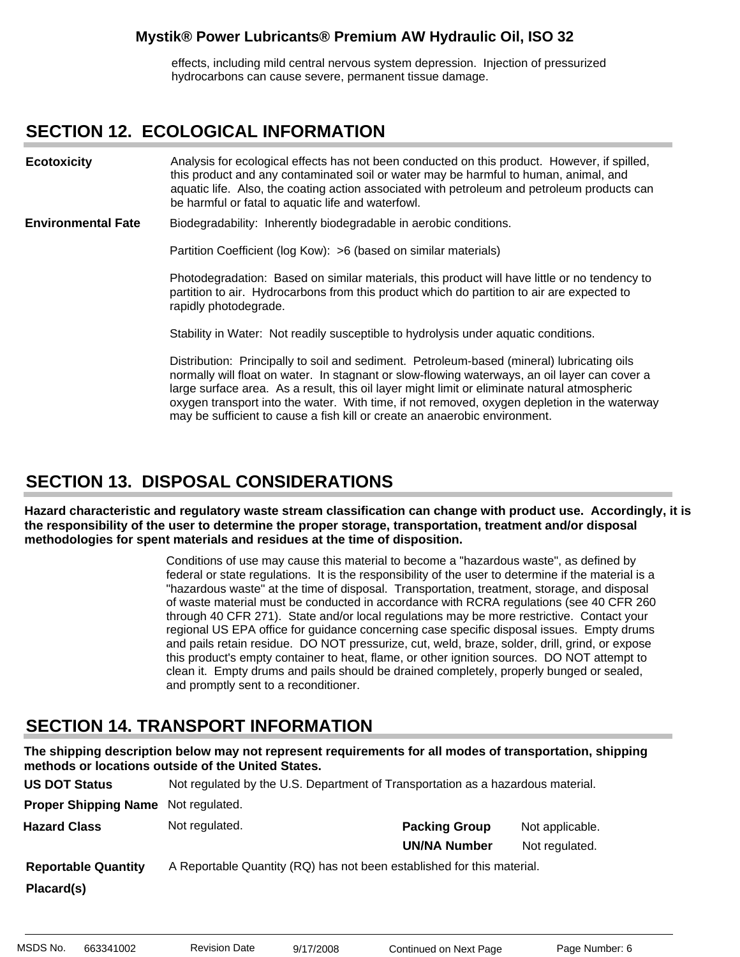effects, including mild central nervous system depression. Injection of pressurized hydrocarbons can cause severe, permanent tissue damage.

#### **SECTION 12. ECOLOGICAL INFORMATION**

Analysis for ecological effects has not been conducted on this product. However, if spilled, this product and any contaminated soil or water may be harmful to human, animal, and aquatic life. Also, the coating action associated with petroleum and petroleum products can be harmful or fatal to aquatic life and waterfowl. **Ecotoxicity**

Biodegradability: Inherently biodegradable in aerobic conditions. **Environmental Fate**

Partition Coefficient (log Kow): >6 (based on similar materials)

Photodegradation: Based on similar materials, this product will have little or no tendency to partition to air. Hydrocarbons from this product which do partition to air are expected to rapidly photodegrade.

Stability in Water: Not readily susceptible to hydrolysis under aquatic conditions.

Distribution: Principally to soil and sediment. Petroleum-based (mineral) lubricating oils normally will float on water. In stagnant or slow-flowing waterways, an oil layer can cover a large surface area. As a result, this oil layer might limit or eliminate natural atmospheric oxygen transport into the water. With time, if not removed, oxygen depletion in the waterway may be sufficient to cause a fish kill or create an anaerobic environment.

#### **SECTION 13. DISPOSAL CONSIDERATIONS**

**Hazard characteristic and regulatory waste stream classification can change with product use. Accordingly, it is the responsibility of the user to determine the proper storage, transportation, treatment and/or disposal methodologies for spent materials and residues at the time of disposition.**

> Conditions of use may cause this material to become a "hazardous waste", as defined by federal or state regulations. It is the responsibility of the user to determine if the material is a "hazardous waste" at the time of disposal. Transportation, treatment, storage, and disposal of waste material must be conducted in accordance with RCRA regulations (see 40 CFR 260 through 40 CFR 271). State and/or local regulations may be more restrictive. Contact your regional US EPA office for guidance concerning case specific disposal issues. Empty drums and pails retain residue. DO NOT pressurize, cut, weld, braze, solder, drill, grind, or expose this product's empty container to heat, flame, or other ignition sources. DO NOT attempt to clean it. Empty drums and pails should be drained completely, properly bunged or sealed, and promptly sent to a reconditioner.

#### **SECTION 14. TRANSPORT INFORMATION**

**The shipping description below may not represent requirements for all modes of transportation, shipping methods or locations outside of the United States.**

| <b>US DOT Status</b>        | Not regulated by the U.S. Department of Transportation as a hazardous material. |                      |                 |
|-----------------------------|---------------------------------------------------------------------------------|----------------------|-----------------|
| <b>Proper Shipping Name</b> | Not regulated.                                                                  |                      |                 |
| <b>Hazard Class</b>         | Not regulated.                                                                  | <b>Packing Group</b> | Not applicable. |
|                             |                                                                                 | <b>UN/NA Number</b>  | Not regulated.  |
| <b>Reportable Quantity</b>  | A Reportable Quantity (RQ) has not been established for this material.          |                      |                 |
| Placard(s)                  |                                                                                 |                      |                 |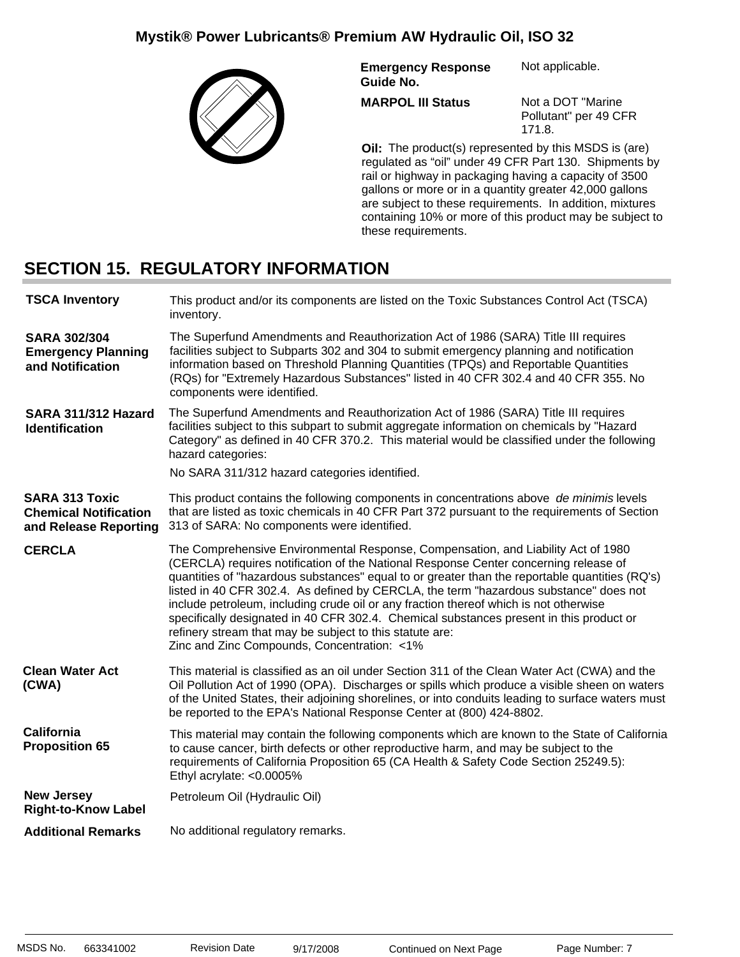

**Emergency Response Guide No.** Not applicable.

**MARPOL III Status**

Not a DOT "Marine Pollutant" per 49 CFR 171.8.

**Oil:** The product(s) represented by this MSDS is (are) regulated as "oil" under 49 CFR Part 130. Shipments by rail or highway in packaging having a capacity of 3500 gallons or more or in a quantity greater 42,000 gallons are subject to these requirements. In addition, mixtures containing 10% or more of this product may be subject to these requirements.

### **SECTION 15. REGULATORY INFORMATION**

| <b>TSCA Inventory</b>                                                          | This product and/or its components are listed on the Toxic Substances Control Act (TSCA)<br>inventory.                                                                                                                                                                                                                                                                                                                                                                                                                                                                                                                                                              |
|--------------------------------------------------------------------------------|---------------------------------------------------------------------------------------------------------------------------------------------------------------------------------------------------------------------------------------------------------------------------------------------------------------------------------------------------------------------------------------------------------------------------------------------------------------------------------------------------------------------------------------------------------------------------------------------------------------------------------------------------------------------|
| <b>SARA 302/304</b><br><b>Emergency Planning</b><br>and Notification           | The Superfund Amendments and Reauthorization Act of 1986 (SARA) Title III requires<br>facilities subject to Subparts 302 and 304 to submit emergency planning and notification<br>information based on Threshold Planning Quantities (TPQs) and Reportable Quantities<br>(RQs) for "Extremely Hazardous Substances" listed in 40 CFR 302.4 and 40 CFR 355. No<br>components were identified.                                                                                                                                                                                                                                                                        |
| SARA 311/312 Hazard<br><b>Identification</b>                                   | The Superfund Amendments and Reauthorization Act of 1986 (SARA) Title III requires<br>facilities subject to this subpart to submit aggregate information on chemicals by "Hazard<br>Category" as defined in 40 CFR 370.2. This material would be classified under the following<br>hazard categories:<br>No SARA 311/312 hazard categories identified.                                                                                                                                                                                                                                                                                                              |
| <b>SARA 313 Toxic</b><br><b>Chemical Notification</b><br>and Release Reporting | This product contains the following components in concentrations above de minimis levels<br>that are listed as toxic chemicals in 40 CFR Part 372 pursuant to the requirements of Section<br>313 of SARA: No components were identified.                                                                                                                                                                                                                                                                                                                                                                                                                            |
| <b>CERCLA</b>                                                                  | The Comprehensive Environmental Response, Compensation, and Liability Act of 1980<br>(CERCLA) requires notification of the National Response Center concerning release of<br>quantities of "hazardous substances" equal to or greater than the reportable quantities (RQ's)<br>listed in 40 CFR 302.4. As defined by CERCLA, the term "hazardous substance" does not<br>include petroleum, including crude oil or any fraction thereof which is not otherwise<br>specifically designated in 40 CFR 302.4. Chemical substances present in this product or<br>refinery stream that may be subject to this statute are:<br>Zinc and Zinc Compounds, Concentration: <1% |
| <b>Clean Water Act</b><br>(CWA)                                                | This material is classified as an oil under Section 311 of the Clean Water Act (CWA) and the<br>Oil Pollution Act of 1990 (OPA). Discharges or spills which produce a visible sheen on waters<br>of the United States, their adjoining shorelines, or into conduits leading to surface waters must<br>be reported to the EPA's National Response Center at (800) 424-8802.                                                                                                                                                                                                                                                                                          |
| <b>California</b><br><b>Proposition 65</b>                                     | This material may contain the following components which are known to the State of California<br>to cause cancer, birth defects or other reproductive harm, and may be subject to the<br>requirements of California Proposition 65 (CA Health & Safety Code Section 25249.5):<br>Ethyl acrylate: <0.0005%                                                                                                                                                                                                                                                                                                                                                           |
| <b>New Jersey</b><br><b>Right-to-Know Label</b>                                | Petroleum Oil (Hydraulic Oil)                                                                                                                                                                                                                                                                                                                                                                                                                                                                                                                                                                                                                                       |
| <b>Additional Remarks</b>                                                      | No additional regulatory remarks.                                                                                                                                                                                                                                                                                                                                                                                                                                                                                                                                                                                                                                   |